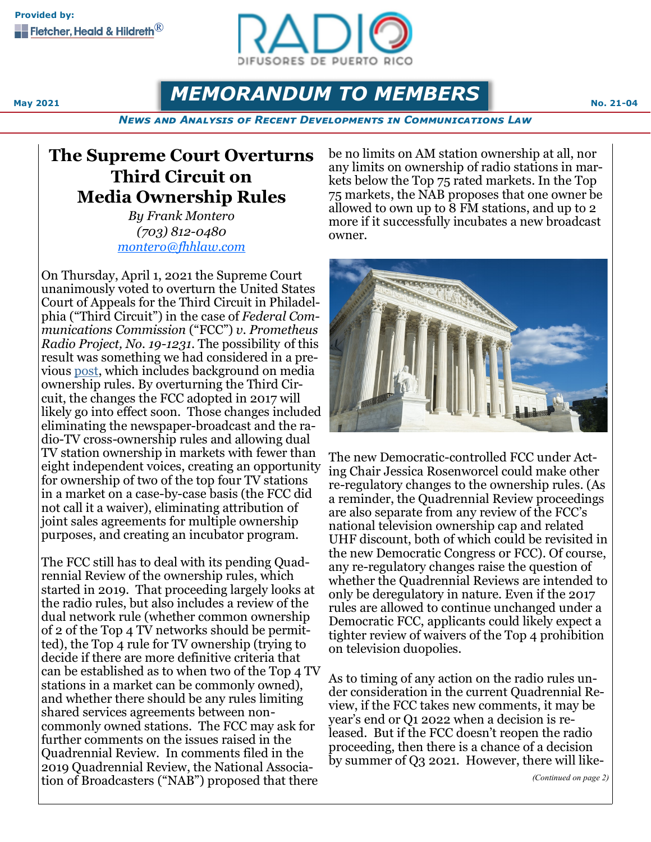

**MEMORANDUM TO MEMBERS No. 21-04 No. 21-04** 

*News and Analysis of Recent Developments in Communications Law*

## **The Supreme Court Overturns Third Circuit on Media Ownership Rules**

*By Frank Montero (703) 812-0480 [montero@fhhlaw.com](mailto:montero@fhhlaw.com)*

On Thursday, April 1, 2021 the Supreme Court unanimously voted to overturn the United States Court of Appeals for the Third Circuit in Philadelphia ("Third Circuit") in the case of *Federal Communications Commission* ("FCC") *v. Prometheus Radio Project, No. 19-1231*. The possibility of this result was something we had considered in a previous [post,](https://www.commlawblog.com/2020/10/articles/broadcast/gaming-out-the-supreme-courts-media-ownership-review/) which includes background on media ownership rules. By overturning the Third Circuit, the changes the FCC adopted in 2017 will likely go into effect soon. Those changes included eliminating the newspaper-broadcast and the radio-TV cross-ownership rules and allowing dual TV station ownership in markets with fewer than eight independent voices, creating an opportunity for ownership of two of the top four TV stations in a market on a case-by-case basis (the FCC did not call it a waiver), eliminating attribution of joint sales agreements for multiple ownership purposes, and creating an incubator program.

The FCC still has to deal with its pending Quadrennial Review of the ownership rules, which started in 2019. That proceeding largely looks at the radio rules, but also includes a review of the dual network rule (whether common ownership of 2 of the Top 4 TV networks should be permitted), the Top 4 rule for TV ownership (trying to decide if there are more definitive criteria that can be established as to when two of the Top 4 TV stations in a market can be commonly owned), and whether there should be any rules limiting shared services agreements between noncommonly owned stations. The FCC may ask for further comments on the issues raised in the Quadrennial Review. In comments filed in the 2019 Quadrennial Review, the National Association of Broadcasters ("NAB") proposed that there

be no limits on AM station ownership at all, nor any limits on ownership of radio stations in markets below the Top 75 rated markets. In the Top 75 markets, the NAB proposes that one owner be allowed to own up to 8 FM stations, and up to 2 more if it successfully incubates a new broadcast owner.



The new Democratic-controlled FCC under Acting Chair Jessica Rosenworcel could make other re-regulatory changes to the ownership rules. (As a reminder, the Quadrennial Review proceedings are also separate from any review of the FCC's national television ownership cap and related UHF discount, both of which could be revisited in the new Democratic Congress or FCC). Of course, any re-regulatory changes raise the question of whether the Quadrennial Reviews are intended to only be deregulatory in nature. Even if the 2017 rules are allowed to continue unchanged under a Democratic FCC, applicants could likely expect a tighter review of waivers of the Top 4 prohibition on television duopolies.

As to timing of any action on the radio rules under consideration in the current Quadrennial Review, if the FCC takes new comments, it may be year's end or Q1 2022 when a decision is released. But if the FCC doesn't reopen the radio proceeding, then there is a chance of a decision by summer of Q3 2021. However, there will like-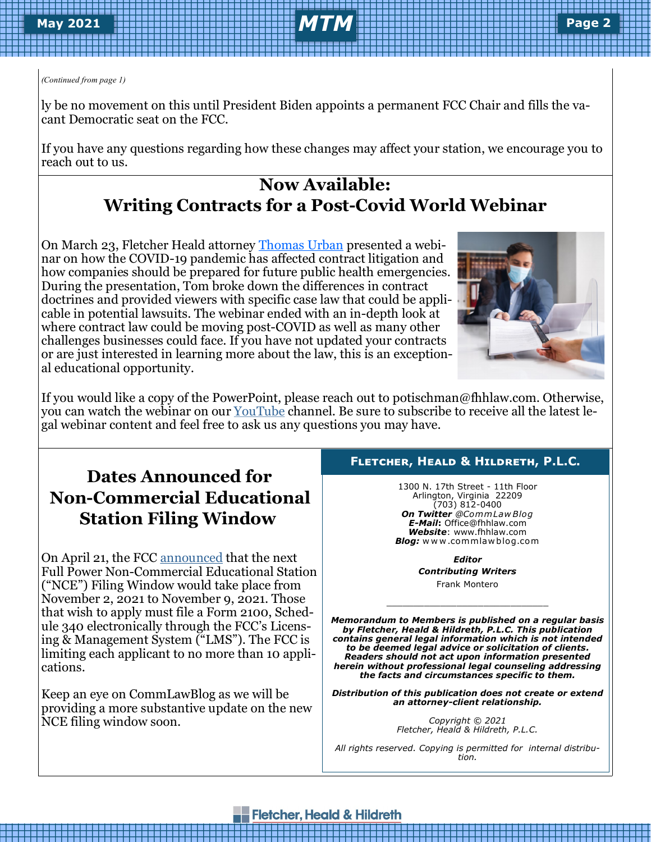# **February 2019 May 2021** *MTM* **Page Page 2 <sup>2</sup>**

ly be no movement on this until President Biden appoints a permanent FCC Chair and fills the vacant Democratic seat on the FCC.

If you have any questions regarding how these changes may affect your station, we encourage you to reach out to us.

### **Now Available: Writing Contracts for a Post-Covid World Webinar**

On March 23, Fletcher Heald attorney [Thomas Urban](https://www.fhhlaw.com/attorneys/urban-thomas.htm) presented a webinar on how the COVID-19 pandemic has affected contract litigation and how companies should be prepared for future public health emergencies. During the presentation, Tom broke down the differences in contract doctrines and provided viewers with specific case law that could be applicable in potential lawsuits. The webinar ended with an in-depth look at where contract law could be moving post-COVID as well as many other challenges businesses could face. If you have not updated your contracts or are just interested in learning more about the law, this is an exceptional educational opportunity.



If you would like a copy of the PowerPoint, please reach out to potischman@fhhlaw.com. Otherwise, you can watch the webinar on our [YouTube](https://www.youtube.com/watch?v=Jg2JT8mG5zk) channel. Be sure to subscribe to receive all the latest legal webinar content and feel free to ask us any questions you may have.

### **Dates Announced for Non-Commercial Educational Station Filing Window**

On April 21, the FCC [announced](https://docs.fcc.gov/public/attachments/DA-21-463A1.pdf) that the next Full Power Non-Commercial Educational Station ("NCE") Filing Window would take place from November 2, 2021 to November 9, 2021. Those that wish to apply must file a Form 2100, Schedule 340 electronically through the FCC's Licensing & Management System ("LMS"). The FCC is limiting each applicant to no more than 10 applications.

Keep an eye on CommLawBlog as we will be providing a more substantive update on the new NCE filing window soon.

#### **Fletcher, Heald & Hildreth, P.L.C.**

1300 N. 17th Street - 11th Floor Arlington, Virginia 22209 (703) 812-0400 *On Twitter @Comm Law Blog E-Mail***:** Office@fhhlaw.com *Website*: www.fhhlaw.com *Blog:* w w w .commlaw blog.com

> *Editor Contributing Writers* Frank Montero

\_\_\_\_\_\_\_\_\_\_\_\_\_\_\_\_\_\_\_\_\_\_\_\_\_\_\_\_\_\_

*Memorandum to Members is published on a regular basis by Fletcher, Heald & Hildreth, P.L.C. This publication contains general legal information which is not intended to be deemed legal advice or solicitation of clients. Readers should not act upon information presented herein without professional legal counseling addressing the facts and circumstances specific to them.*

*Distribution of this publication does not create or extend an attorney-client relationship.* 

> *Copyright © 2021 Fletcher, Heald & Hildreth, P.L.C.*

*All rights reserved. Copying is permitted for internal distribution.* 

#### **Fletcher, Heald & Hildreth**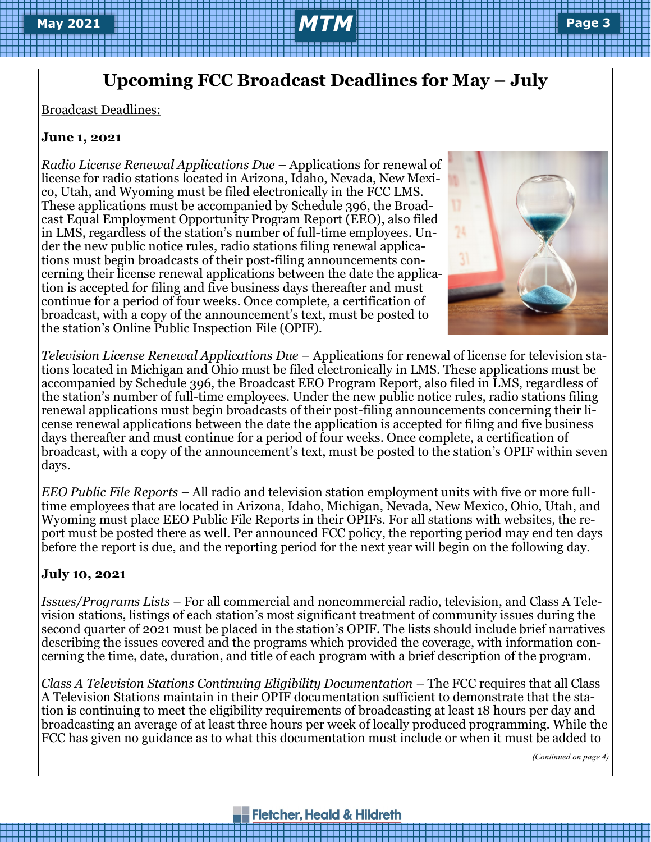### **Upcoming FCC Broadcast Deadlines for May – July**

Broadcast Deadlines:

### **June 1, 2021**

*Radio License Renewal Applications Due* – Applications for renewal of license for radio stations located in Arizona, Idaho, Nevada, New Mexico, Utah, and Wyoming must be filed electronically in the FCC LMS. These applications must be accompanied by Schedule 396, the Broadcast Equal Employment Opportunity Program Report (EEO), also filed in LMS, regardless of the station's number of full-time employees. Under the new public notice rules, radio stations filing renewal applications must begin broadcasts of their post-filing announcements concerning their license renewal applications between the date the application is accepted for filing and five business days thereafter and must continue for a period of four weeks. Once complete, a certification of broadcast, with a copy of the announcement's text, must be posted to the station's Online Public Inspection File (OPIF).



*Television License Renewal Applications Due* – Applications for renewal of license for television stations located in Michigan and Ohio must be filed electronically in LMS. These applications must be accompanied by Schedule 396, the Broadcast EEO Program Report, also filed in LMS, regardless of the station's number of full-time employees. Under the new public notice rules, radio stations filing renewal applications must begin broadcasts of their post-filing announcements concerning their license renewal applications between the date the application is accepted for filing and five business days thereafter and must continue for a period of four weeks. Once complete, a certification of broadcast, with a copy of the announcement's text, must be posted to the station's OPIF within seven days.

*EEO Public File Reports* – All radio and television station employment units with five or more fulltime employees that are located in Arizona, Idaho, Michigan, Nevada, New Mexico, Ohio, Utah, and Wyoming must place EEO Public File Reports in their OPIFs. For all stations with websites, the report must be posted there as well. Per announced FCC policy, the reporting period may end ten days before the report is due, and the reporting period for the next year will begin on the following day.

#### **July 10, 2021**

*Issues/Programs Lists* – For all commercial and noncommercial radio, television, and Class A Television stations, listings of each station's most significant treatment of community issues during the second quarter of 2021 must be placed in the station's OPIF. The lists should include brief narratives describing the issues covered and the programs which provided the coverage, with information concerning the time, date, duration, and title of each program with a brief description of the program.

*Class A Television Stations Continuing Eligibility Documentation* – The FCC requires that all Class A Television Stations maintain in their OPIF documentation sufficient to demonstrate that the station is continuing to meet the eligibility requirements of broadcasting at least 18 hours per day and broadcasting an average of at least three hours per week of locally produced programming. While the FCC has given no guidance as to what this documentation must include or when it must be added to

*(Continued on page 4)*

#### **Fletcher, Heald & Hildreth**